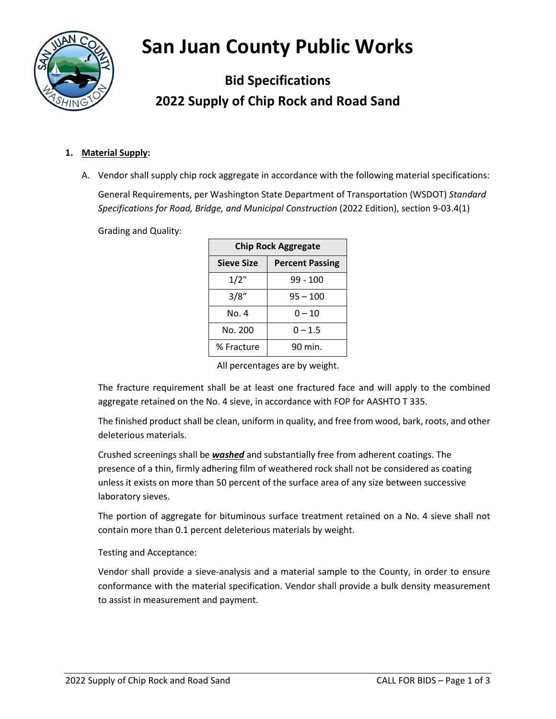# **San Juan County Public Works**



# **Bid Specifications 2022 Supply of Chip Rock and Road Sand**

## **1. Material Supply:**

A. Vendor shall supply chip rock aggregate in accordance with the following material specifications:

General Requirements, per Washington State Department of Transportation (WSDOT) *Standard Specifications for Road, Bridge, and Municipal Construction* (2022 Edition), section 9-03.4(1)

Grading and Quality:

| <b>Chip Rock Aggregate</b> |                        |  |
|----------------------------|------------------------|--|
| <b>Sieve Size</b>          | <b>Percent Passing</b> |  |
| 1/2"                       | 99 - 100               |  |
| 3/8"                       | $95 - 100$             |  |
| No. 4                      | $0 - 10$               |  |
| No. 200                    | $0 - 1.5$              |  |
| % Fracture                 | 90 min.                |  |

All percentages are by weight.

The fracture requirement shall be at least one fractured face and will apply to the combined aggregate retained on the No. 4 sieve, in accordance with FOP for AASHTO T 335.

The finished product shall be clean, uniform in quality, and free from wood, bark, roots, and other deleterious materials.

Crushed screenings shall be *washed* and substantially free from adherent coatings. The presence of a thin, firmly adhering film of weathered rock shall not be considered as coating unless it exists on more than 50 percent of the surface area of any size between successive laboratory sieves.

The portion of aggregate for bituminous surface treatment retained on a No. 4 sieve shall not contain more than 0.1 percent deleterious materials by weight.

Testing and Acceptance:

Vendor shall provide a sieve-analysis and a material sample to the County, in order to ensure conformance with the material specification. Vendor shall provide a bulk density measurement to assist in measurement and payment.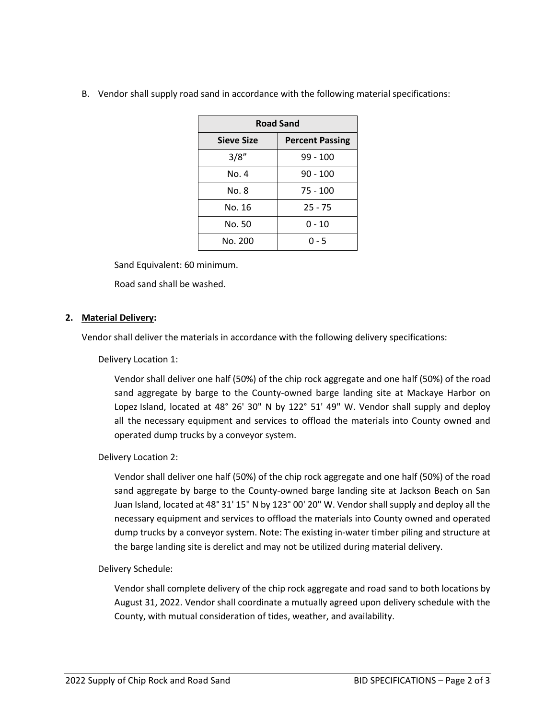| <b>Road Sand</b>  |                        |  |
|-------------------|------------------------|--|
| <b>Sieve Size</b> | <b>Percent Passing</b> |  |
| 3/8"              | 99 - 100               |  |
| No. 4             | 90 - 100               |  |
| No. 8             | 75 - 100               |  |
| No. 16            | $25 - 75$              |  |
| No. 50            | 0 - 10                 |  |
| No. 200           | 0 - 5                  |  |

B. Vendor shall supply road sand in accordance with the following material specifications:

Sand Equivalent: 60 minimum.

Road sand shall be washed.

#### **2. Material Delivery:**

Vendor shall deliver the materials in accordance with the following delivery specifications:

Delivery Location 1:

Vendor shall deliver one half (50%) of the chip rock aggregate and one half (50%) of the road sand aggregate by barge to the County-owned barge landing site at Mackaye Harbor on Lopez Island, located at 48° 26' 30" N by 122° 51' 49" W. Vendor shall supply and deploy all the necessary equipment and services to offload the materials into County owned and operated dump trucks by a conveyor system.

Delivery Location 2:

Vendor shall deliver one half (50%) of the chip rock aggregate and one half (50%) of the road sand aggregate by barge to the County-owned barge landing site at Jackson Beach on San Juan Island, located at 48° 31' 15" N by 123° 00' 20" W. Vendor shall supply and deploy all the necessary equipment and services to offload the materials into County owned and operated dump trucks by a conveyor system. Note: The existing in-water timber piling and structure at the barge landing site is derelict and may not be utilized during material delivery.

### Delivery Schedule:

Vendor shall complete delivery of the chip rock aggregate and road sand to both locations by August 31, 2022. Vendor shall coordinate a mutually agreed upon delivery schedule with the County, with mutual consideration of tides, weather, and availability.